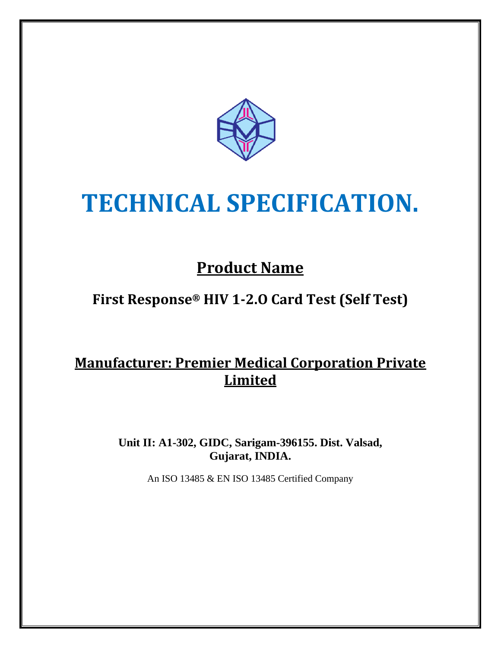

# **TECHNICAL SPECIFICATION.**

# **Product Name**

## **First Response® HIV 1-2.O Card Test (Self Test)**

### **Manufacturer: Premier Medical Corporation Private Limited**

**Unit II: A1-302, GIDC, Sarigam-396155. Dist. Valsad, Gujarat, INDIA.**

An ISO 13485 & EN ISO 13485 Certified Company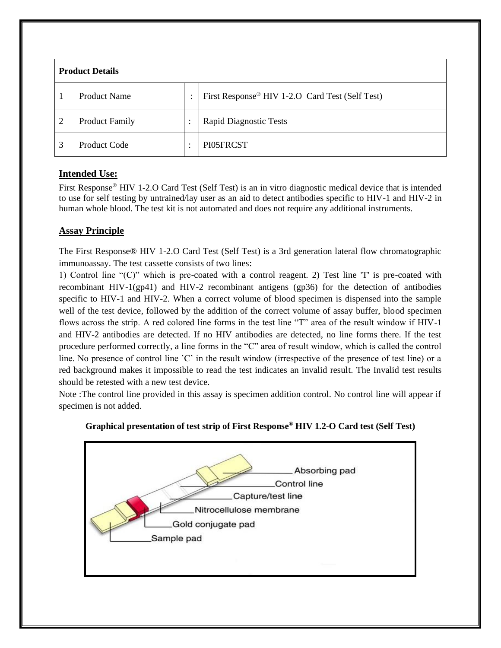| <b>Product Details</b> |                       |                           |                                                 |
|------------------------|-----------------------|---------------------------|-------------------------------------------------|
|                        | <b>Product Name</b>   | ٠                         | First Response® HIV 1-2.O Card Test (Self Test) |
| $\overline{2}$         | <b>Product Family</b> | ٠<br>$\ddot{\phantom{a}}$ | <b>Rapid Diagnostic Tests</b>                   |
| 3                      | Product Code          | ٠<br>$\bullet$            | PI05FRCST                                       |

#### **Intended Use:**

First Response® HIV 1-2.O Card Test (Self Test) is an in vitro diagnostic medical device that is intended to use for self testing by untrained/lay user as an aid to detect antibodies specific to HIV-1 and HIV-2 in human whole blood. The test kit is not automated and does not require any additional instruments.

#### **Assay Principle**

The First Response® HIV 1-2.O Card Test (Self Test) is a 3rd generation lateral flow chromatographic immunoassay. The test cassette consists of two lines:

1) Control line "(C)" which is pre-coated with a control reagent. 2) Test line 'T' is pre-coated with recombinant HIV-1(gp41) and HIV-2 recombinant antigens (gp36) for the detection of antibodies specific to HIV-1 and HIV-2. When a correct volume of blood specimen is dispensed into the sample well of the test device, followed by the addition of the correct volume of assay buffer, blood specimen flows across the strip. A red colored line forms in the test line "T" area of the result window if HIV-1 and HIV-2 antibodies are detected. If no HIV antibodies are detected, no line forms there. If the test procedure performed correctly, a line forms in the "C" area of result window, which is called the control line. No presence of control line 'C' in the result window (irrespective of the presence of test line) or a red background makes it impossible to read the test indicates an invalid result. The Invalid test results should be retested with a new test device.

Note :The control line provided in this assay is specimen addition control. No control line will appear if specimen is not added.



#### **Graphical presentation of test strip of First Response ® HIV 1.2-O Card test (Self Test)**